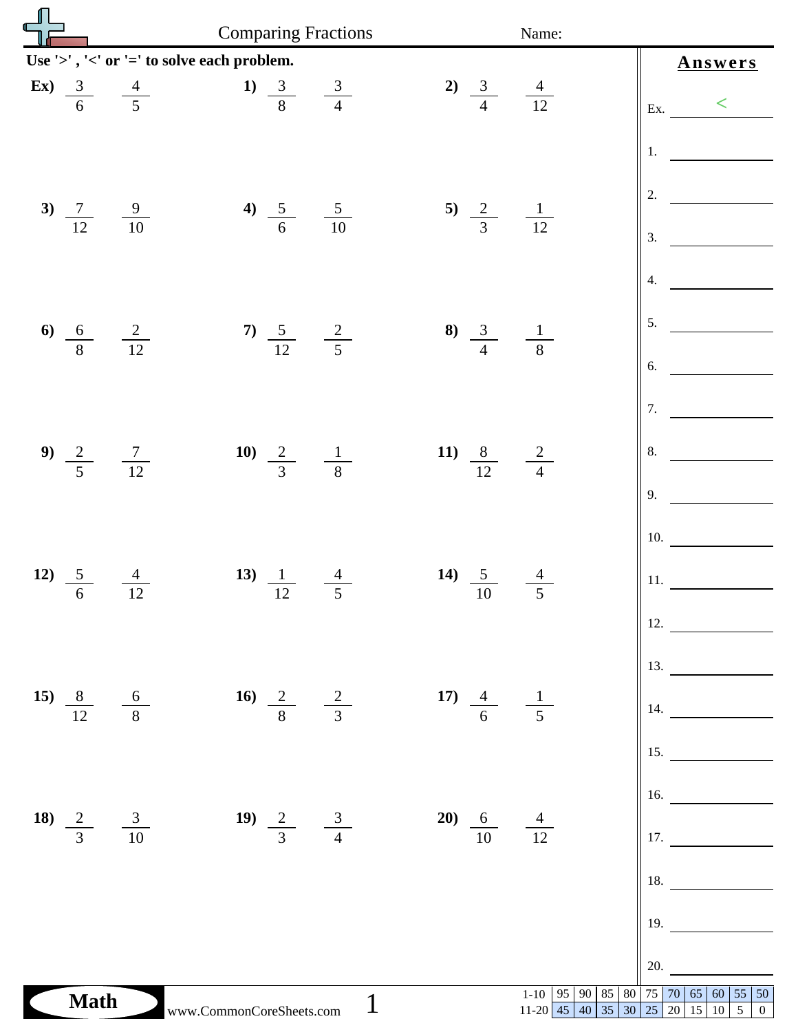| لے                               | <b>Comparing Fractions</b>                                    |                                           | Name:                                                                           |                                                           |  |  |
|----------------------------------|---------------------------------------------------------------|-------------------------------------------|---------------------------------------------------------------------------------|-----------------------------------------------------------|--|--|
|                                  | Use '>', '<' or '=' to solve each problem.<br>Answers         |                                           |                                                                                 |                                                           |  |  |
| $\mathbf{E}\mathbf{x}$           | 1) $\frac{3}{8}$ $\frac{3}{4}$<br>$\frac{3}{6}$ $\frac{4}{5}$ | 2) $\frac{3}{4}$ $\frac{4}{12}$           |                                                                                 | $\lt$<br>Ex.                                              |  |  |
|                                  |                                                               |                                           |                                                                                 | 1.                                                        |  |  |
| 3) $\frac{7}{12}$ $\frac{9}{10}$ | 4) $\frac{5}{6}$ $\frac{5}{10}$                               | 5) $\frac{2}{3}$ $\frac{1}{12}$           |                                                                                 | 2.                                                        |  |  |
|                                  |                                                               |                                           |                                                                                 | 3.<br>4.                                                  |  |  |
|                                  |                                                               |                                           |                                                                                 | 5.                                                        |  |  |
| 6) $\frac{6}{8}$ $\frac{2}{12}$  | 7) $\frac{5}{12}$ $\frac{2}{5}$                               | 8) $\frac{3}{4}$                          | $\frac{1}{8}$                                                                   | 6.                                                        |  |  |
|                                  |                                                               |                                           |                                                                                 | 7.                                                        |  |  |
| 9) $\frac{2}{5}$ $\frac{7}{12}$  | 10) $\frac{2}{3}$ $\frac{1}{8}$                               | 11) $\frac{8}{12}$                        | $\frac{2}{4}$                                                                   | 8.                                                        |  |  |
|                                  |                                                               |                                           |                                                                                 | 9.<br>10.                                                 |  |  |
| <b>12)</b><br>$\frac{5}{6}$      | 13) $\frac{1}{12}$<br>$\frac{4}{12}$                          | 14) $\frac{5}{10}$<br>$\frac{4}{5}$       |                                                                                 | 11.                                                       |  |  |
|                                  |                                                               |                                           |                                                                                 | 12.                                                       |  |  |
|                                  | 16) $\frac{2}{8}$ $\frac{2}{3}$                               | 17) $\frac{4}{6}$ $\frac{1}{5}$           |                                                                                 | $\vert$ 13.                                               |  |  |
| 15) $\frac{8}{12}$ $\frac{6}{8}$ |                                                               |                                           |                                                                                 | $\parallel$ 14. $\_\_$<br>$\vert 15.$                     |  |  |
|                                  |                                                               |                                           |                                                                                 | $\vert$ 16.                                               |  |  |
| 18) $\frac{2}{3}$ $\frac{3}{10}$ | 19) $\frac{2}{3}$ $\frac{3}{4}$                               | <b>20</b> ) $\frac{6}{10}$ $\frac{4}{12}$ |                                                                                 | $\left\vert \begin{array}{c} 17. \end{array} \right\vert$ |  |  |
|                                  |                                                               |                                           |                                                                                 | $\vert$ 18.                                               |  |  |
|                                  |                                                               |                                           |                                                                                 | 19.                                                       |  |  |
| <b>Math</b>                      | www.CommonCoreSheets.com                                      | 1                                         | 1-10   95   90   85   80   75   70   65   60<br>$11-20$ 45 40 35 30 25 20 15 10 | 20.<br> 55 50<br>5 <sup>1</sup><br>$\overline{0}$         |  |  |